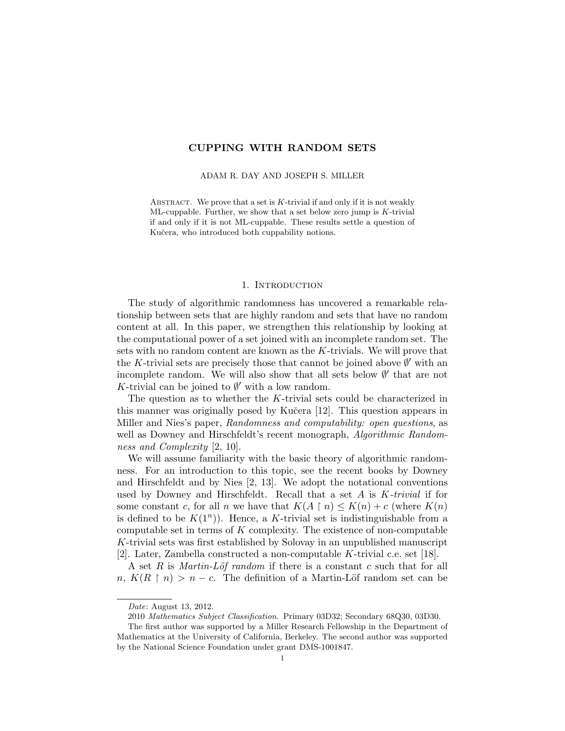# CUPPING WITH RANDOM SETS

#### ADAM R. DAY AND JOSEPH S. MILLER

ABSTRACT. We prove that a set is  $K$ -trivial if and only if it is not weakly ML-cuppable. Further, we show that a set below zero jump is  $K$ -trivial if and only if it is not ML-cuppable. These results settle a question of Kučera, who introduced both cuppability notions.

### 1. Introduction

The study of algorithmic randomness has uncovered a remarkable relationship between sets that are highly random and sets that have no random content at all. In this paper, we strengthen this relationship by looking at the computational power of a set joined with an incomplete random set. The sets with no random content are known as the K-trivials. We will prove that the K-trivial sets are precisely those that cannot be joined above  $\emptyset'$  with an incomplete random. We will also show that all sets below  $\emptyset'$  that are not K-trivial can be joined to  $\emptyset'$  with a low random.

The question as to whether the K-trivial sets could be characterized in this manner was originally posed by Kučera  $[12]$ . This question appears in Miller and Nies's paper, Randomness and computability: open questions, as well as Downey and Hirschfeldt's recent monograph, *Algorithmic Random*ness and Complexity [2, 10].

We will assume familiarity with the basic theory of algorithmic randomness. For an introduction to this topic, see the recent books by Downey and Hirschfeldt and by Nies [2, 13]. We adopt the notational conventions used by Downey and Hirschfeldt. Recall that a set  $A$  is  $K-trivial$  if for some constant c, for all n we have that  $K(A \restriction n) \leq K(n) + c$  (where  $K(n)$ ) is defined to be  $K(1^n)$ ). Hence, a K-trivial set is indistinguishable from a computable set in terms of  $K$  complexity. The existence of non-computable K-trivial sets was first established by Solovay in an unpublished manuscript [2]. Later, Zambella constructed a non-computable K-trivial c.e. set [18].

A set R is *Martin-Löf random* if there is a constant c such that for all n,  $K(R \mid n) > n - c$ . The definition of a Martin-Löf random set can be

Date: August 13, 2012.

<sup>2010</sup> Mathematics Subject Classification. Primary 03D32; Secondary 68Q30, 03D30.

The first author was supported by a Miller Research Fellowship in the Department of Mathematics at the University of California, Berkeley. The second author was supported by the National Science Foundation under grant DMS-1001847.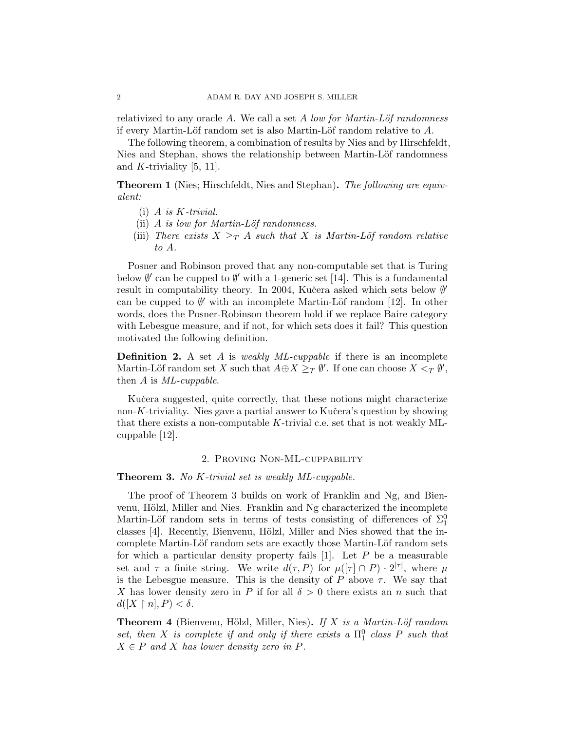relativized to any oracle A. We call a set A low for Martin-Löf randomness if every Martin-Löf random set is also Martin-Löf random relative to  $A$ .

The following theorem, a combination of results by Nies and by Hirschfeldt, Nies and Stephan, shows the relationship between Martin-Löf randomness and K-triviality  $[5, 11]$ .

**Theorem 1** (Nies; Hirschfeldt, Nies and Stephan). The following are equivalent:

- $(i)$  A is K-trivial.
- (ii)  $A$  is low for Martin-Löf randomness.
- (iii) There exists  $X \geq_T A$  such that X is Martin-Löf random relative to A.

Posner and Robinson proved that any non-computable set that is Turing below  $\emptyset'$  can be cupped to  $\emptyset'$  with a 1-generic set [14]. This is a fundamental result in computability theory. In 2004, Kučera asked which sets below  $\emptyset'$ can be cupped to  $\emptyset'$  with an incomplete Martin-Löf random [12]. In other words, does the Posner-Robinson theorem hold if we replace Baire category with Lebesgue measure, and if not, for which sets does it fail? This question motivated the following definition.

**Definition 2.** A set A is weakly  $ML$ -cuppable if there is an incomplete Martin-Löf random set X such that  $A \oplus X \geq_T \emptyset'$ . If one can choose  $X \leq_T \emptyset'$ , then A is ML-cuppable.

Kučera suggested, quite correctly, that these notions might characterize non-K-triviality. Nies gave a partial answer to Kučera's question by showing that there exists a non-computable K-trivial c.e. set that is not weakly MLcuppable [12].

## 2. Proving Non-ML-cuppability

## **Theorem 3.** No K-trivial set is weakly ML-cuppable.

The proof of Theorem 3 builds on work of Franklin and Ng, and Bienvenu, Hölzl, Miller and Nies. Franklin and Ng characterized the incomplete Martin-Löf random sets in terms of tests consisting of differences of  $\Sigma_1^0$ classes [4]. Recently, Bienvenu, Hölzl, Miller and Nies showed that the incomplete Martin-Löf random sets are exactly those Martin-Löf random sets for which a particular density property fails  $[1]$ . Let P be a measurable set and  $\tau$  a finite string. We write  $d(\tau, P)$  for  $\mu([\tau] \cap P) \cdot 2^{|\tau|}$ , where  $\mu$ is the Lebesgue measure. This is the density of  $P$  above  $\tau$ . We say that X has lower density zero in P if for all  $\delta > 0$  there exists an n such that  $d([X \restriction n], P) < \delta.$ 

**Theorem 4** (Bienvenu, Hölzl, Miller, Nies). If X is a Martin-Löf random set, then X is complete if and only if there exists a  $\Pi_1^0$  class P such that  $X \in P$  and X has lower density zero in P.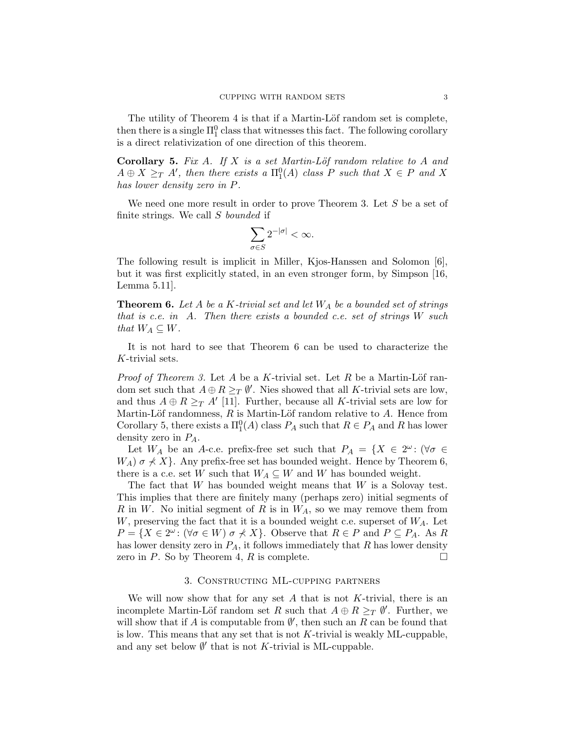The utility of Theorem 4 is that if a Martin-Löf random set is complete, then there is a single  $\Pi_1^0$  class that witnesses this fact. The following corollary is a direct relativization of one direction of this theorem.

Corollary 5. Fix A. If X is a set Martin-Löf random relative to A and  $A \oplus X \geq_T A'$ , then there exists a  $\Pi_1^0(A)$  class P such that  $X \in P$  and X has lower density zero in P.

We need one more result in order to prove Theorem 3. Let S be a set of finite strings. We call S bounded if

$$
\sum_{\sigma\in S}2^{-|\sigma|}<\infty.
$$

The following result is implicit in Miller, Kjos-Hanssen and Solomon [6], but it was first explicitly stated, in an even stronger form, by Simpson [16, Lemma 5.11].

**Theorem 6.** Let A be a K-trivial set and let  $W_A$  be a bounded set of strings that is c.e. in A. Then there exists a bounded c.e. set of strings  $W$  such that  $W_A \subseteq W$ .

It is not hard to see that Theorem 6 can be used to characterize the K-trivial sets.

*Proof of Theorem 3.* Let A be a K-trivial set. Let R be a Martin-Löf random set such that  $A \oplus R \geq_T \emptyset'$ . Nies showed that all K-trivial sets are low, and thus  $A \oplus R \geq T A'$  [11]. Further, because all K-trivial sets are low for Martin-Löf randomness,  $R$  is Martin-Löf random relative to  $A$ . Hence from Corollary 5, there exists a  $\Pi_1^0(A)$  class  $P_A$  such that  $R \in P_A$  and R has lower density zero in  $P_A$ .

Let  $W_A$  be an A-c.e. prefix-free set such that  $P_A = \{X \in 2^{\omega} : (\forall \sigma \in \mathbb{R}^d) | \sigma \in \mathbb{R}^d \}$  $W_A$ )  $\sigma \nless X$ . Any prefix-free set has bounded weight. Hence by Theorem 6, there is a c.e. set W such that  $W_A \subseteq W$  and W has bounded weight.

The fact that  $W$  has bounded weight means that  $W$  is a Solovay test. This implies that there are finitely many (perhaps zero) initial segments of R in W. No initial segment of R is in  $W_A$ , so we may remove them from W, preserving the fact that it is a bounded weight c.e. superset of  $W_A$ . Let  $P = \{X \in 2^{\omega} : (\forall \sigma \in W) \mid \sigma \nless X\}.$  Observe that  $R \in P$  and  $P \subseteq P_A$ . As R has lower density zero in  $P_A$ , it follows immediately that R has lower density zero in P. So by Theorem 4, R is complete.  $\square$ 

## 3. Constructing ML-cupping partners

We will now show that for any set  $A$  that is not  $K$ -trivial, there is an incomplete Martin-Löf random set R such that  $A \oplus R \geq_T \emptyset'$ . Further, we will show that if A is computable from  $\emptyset'$ , then such an R can be found that is low. This means that any set that is not K-trivial is weakly ML-cuppable, and any set below  $\emptyset'$  that is not K-trivial is ML-cuppable.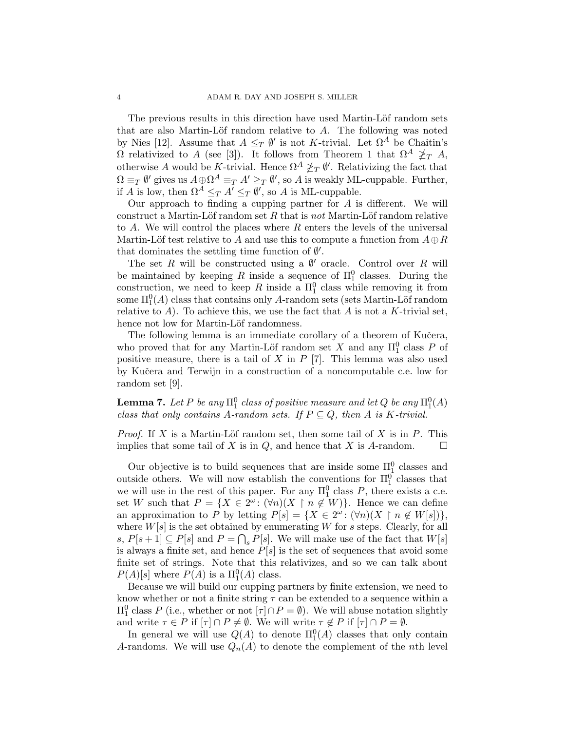The previous results in this direction have used Martin-Löf random sets that are also Martin-Löf random relative to  $A$ . The following was noted by Nies [12]. Assume that  $A \leq_T \emptyset'$  is not K-trivial. Let  $\Omega^A$  be Chaitin's  $Ω$  relativized to A (see [3]). It follows from Theorem 1 that  $Ω<sup>A</sup> \not\geq_T A$ , otherwise A would be K-trivial. Hence  $\Omega^A \not\geq_T \emptyset'$ . Relativizing the fact that  $\Omega \equiv_T \emptyset'$  gives us  $A \oplus \Omega^A \equiv_T A' \geq_T \emptyset'$ , so A is weakly ML-cuppable. Further, if A is low, then  $\Omega^A \leq_T A' \leq_T \emptyset'$ , so A is ML-cuppable.

Our approach to finding a cupping partner for  $A$  is different. We will construct a Martin-Löf random set  $R$  that is not Martin-Löf random relative to  $A$ . We will control the places where  $R$  enters the levels of the universal Martin-Löf test relative to A and use this to compute a function from  $A \oplus R$ that dominates the settling time function of  $\emptyset'$ .

The set R will be constructed using a  $\emptyset'$  oracle. Control over R will be maintained by keeping R inside a sequence of  $\Pi_1^0$  classes. During the construction, we need to keep R inside a  $\Pi_1^0$  class while removing it from some  $\Pi^0_1(A)$  class that contains only A-random sets (sets Martin-Löf random relative to A). To achieve this, we use the fact that A is not a K-trivial set, hence not low for Martin-Löf randomness.

The following lemma is an immediate corollary of a theorem of Kučera, who proved that for any Martin-Löf random set X and any  $\Pi_1^0$  class P of positive measure, there is a tail of  $X$  in  $P$  [7]. This lemma was also used by Kuˇcera and Terwijn in a construction of a noncomputable c.e. low for random set [9].

**Lemma 7.** Let P be any  $\Pi_1^0$  class of positive measure and let Q be any  $\Pi_1^0(A)$ class that only contains A-random sets. If  $P \subseteq Q$ , then A is K-trivial.

*Proof.* If X is a Martin-Löf random set, then some tail of X is in P. This implies that some tail of X is in  $Q$ , and hence that X is A-random.  $\square$ 

Our objective is to build sequences that are inside some  $\Pi_1^0$  classes and outside others. We will now establish the conventions for  $\Pi_1^0$  classes that we will use in the rest of this paper. For any  $\Pi_1^0$  class P, there exists a c.e. set W such that  $P = \{X \in 2^{\omega} : (\forall n)(X \restriction n \notin W)\}.$  Hence we can define an approximation to P by letting  $P[s] = \{X \in 2^{\omega} : (\forall n)(X \restriction n \notin W[s])\},\$ where  $W[s]$  is the set obtained by enumerating W for s steps. Clearly, for all s,  $P[s+1] \subseteq P[s]$  and  $P = \bigcap_s P[s]$ . We will make use of the fact that  $W[s]$ is always a finite set, and hence  $P[s]$  is the set of sequences that avoid some finite set of strings. Note that this relativizes, and so we can talk about  $P(A)[s]$  where  $P(A)$  is a  $\Pi_1^0(A)$  class.

Because we will build our cupping partners by finite extension, we need to know whether or not a finite string  $\tau$  can be extended to a sequence within a  $\Pi_1^0$  class P (i.e., whether or not  $[\tau] \cap P = \emptyset$ ). We will abuse notation slightly and write  $\tau \in P$  if  $[\tau] \cap P \neq \emptyset$ . We will write  $\tau \notin P$  if  $[\tau] \cap P = \emptyset$ .

In general we will use  $Q(A)$  to denote  $\Pi_1^0(A)$  classes that only contain A-randoms. We will use  $Q_n(A)$  to denote the complement of the *n*th level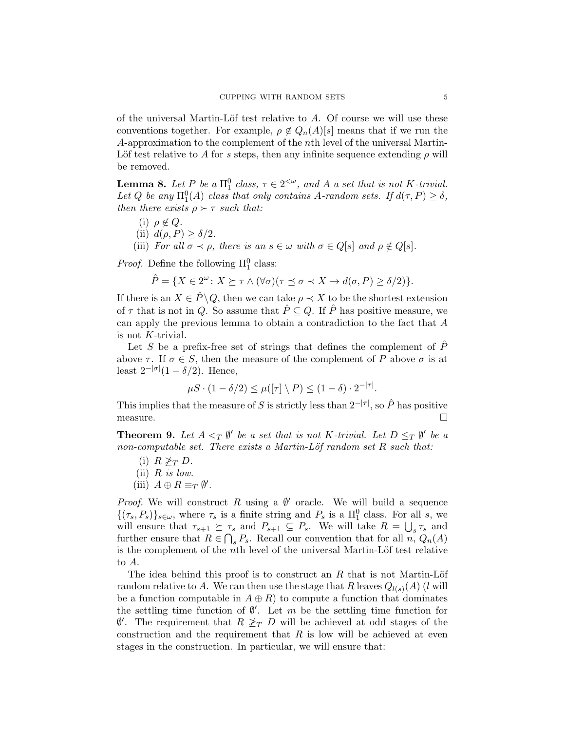of the universal Martin-Löf test relative to  $A$ . Of course we will use these conventions together. For example,  $\rho \notin Q_n(A)[s]$  means that if we run the A-approximation to the complement of the nth level of the universal Martin-Löf test relative to A for s steps, then any infinite sequence extending  $\rho$  will be removed.

**Lemma 8.** Let P be a  $\Pi_1^0$  class,  $\tau \in 2^{<\omega}$ , and A a set that is not K-trivial. Let Q be any  $\Pi_1^0(A)$  class that only contains A-random sets. If  $d(\tau, P) \ge \delta$ , then there exists  $\rho \succ \tau$  such that:

- (i)  $\rho \notin Q$ .
- (ii)  $d(\rho, P) \geq \delta/2$ .
- (iii) For all  $\sigma \prec \rho$ , there is an  $s \in \omega$  with  $\sigma \in Q[s]$  and  $\rho \notin Q[s]$ .

*Proof.* Define the following  $\Pi_1^0$  class:

$$
\hat{P} = \{ X \in 2^{\omega} \colon X \succeq \tau \wedge (\forall \sigma)(\tau \preceq \sigma \prec X \rightarrow d(\sigma, P) \ge \delta/2) \}.
$$

If there is an  $X \in \hat{P} \backslash Q$ , then we can take  $\rho \prec X$  to be the shortest extension of  $\tau$  that is not in Q. So assume that  $\hat{P} \subseteq Q$ . If  $\hat{P}$  has positive measure, we can apply the previous lemma to obtain a contradiction to the fact that A is not K-trivial.

Let S be a prefix-free set of strings that defines the complement of  $\hat{P}$ above  $\tau$ . If  $\sigma \in S$ , then the measure of the complement of P above  $\sigma$  is at least  $2^{-|\sigma|}(1-\delta/2)$ . Hence,

$$
\mu S \cdot (1 - \delta/2) \le \mu([\tau] \setminus P) \le (1 - \delta) \cdot 2^{-|\tau|}.
$$

This implies that the measure of S is strictly less than  $2^{-|\tau|}$ , so  $\hat{P}$  has positive measure.

**Theorem 9.** Let  $A \leq_T \emptyset'$  be a set that is not K-trivial. Let  $D \leq_T \emptyset'$  be a non-computable set. There exists a Martin-Löf random set  $R$  such that:

- (i)  $R \not\geq_T D$ . (ii)  $R$  is low.
- (iii)  $A \oplus R \equiv_T \emptyset'$ .

*Proof.* We will construct R using a  $\emptyset'$  oracle. We will build a sequence  $\{(\tau_s, P_s)\}_{s\in\omega}$ , where  $\tau_s$  is a finite string and  $P_s$  is a  $\Pi_1^0$  class. For all s, we will ensure that  $\tau_{s+1} \succeq \tau_s$  and  $P_{s+1} \subseteq P_s$ . We will take  $R = \bigcup_s \tau_s$  and further ensure that  $R \in \bigcap_s P_s$ . Recall our convention that for all  $n, Q_n(A)$ is the complement of the *n*th level of the universal Martin-Löf test relative to A.

The idea behind this proof is to construct an  $R$  that is not Martin-Löf random relative to A. We can then use the stage that R leaves  $Q_{l(s)}(A)$  (l will be a function computable in  $A \oplus R$ ) to compute a function that dominates the settling time function of  $\emptyset'$ . Let m be the settling time function for  $\emptyset'$ . The requirement that  $R \not\geq_T D$  will be achieved at odd stages of the construction and the requirement that  $R$  is low will be achieved at even stages in the construction. In particular, we will ensure that: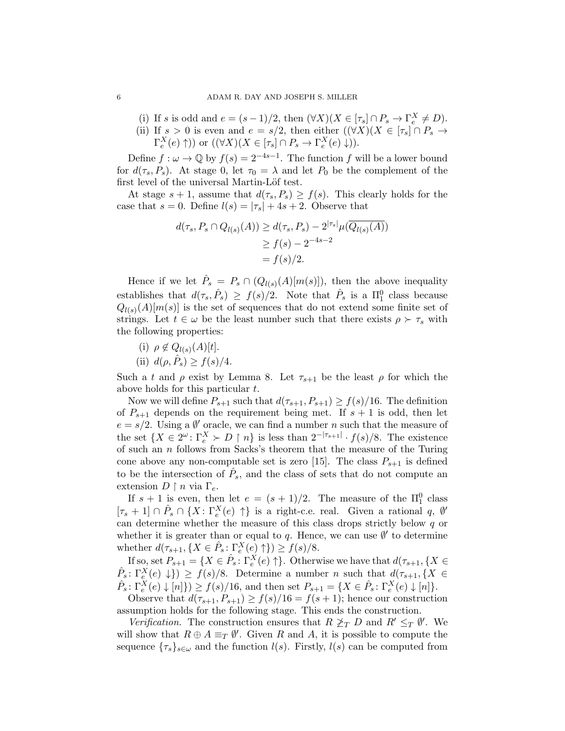- (i) If s is odd and  $e = (s-1)/2$ , then  $(\forall X)(X \in [\tau_s] \cap P_s \to \Gamma_e^X \neq D)$ .
- (ii) If  $s > 0$  is even and  $e = s/2$ , then either  $(\forall X)(X \in [\tau_s] \cap P_s \rightarrow$  $\Gamma_e^X(e) \uparrow)$  or  $((\forall X)(X \in [\tau_s] \cap P_s \to \Gamma_e^X(e) \downarrow)).$

Define  $f: \omega \to \mathbb{Q}$  by  $f(s) = 2^{-4s-1}$ . The function f will be a lower bound for  $d(\tau_s, P_s)$ . At stage 0, let  $\tau_0 = \lambda$  and let  $P_0$  be the complement of the first level of the universal Martin-Löf test.

At stage  $s + 1$ , assume that  $d(\tau_s, P_s) \ge f(s)$ . This clearly holds for the case that  $s = 0$ . Define  $l(s) = |\tau_s| + 4s + 2$ . Observe that

$$
d(\tau_s, P_s \cap Q_{l(s)}(A)) \ge d(\tau_s, P_s) - 2^{|\tau_s|} \mu(\overline{Q_{l(s)}(A)})
$$
  
\n
$$
\ge f(s) - 2^{-4s-2}
$$
  
\n
$$
= f(s)/2.
$$

Hence if we let  $\hat{P}_s = P_s \cap (Q_{l(s)}(A)[m(s)])$ , then the above inequality establishes that  $d(\tau_s, \hat{P}_s) \geq f(s)/2$ . Note that  $\hat{P}_s$  is a  $\Pi_1^0$  class because  $Q_{l(s)}(A)[m(s)]$  is the set of sequences that do not extend some finite set of strings. Let  $t \in \omega$  be the least number such that there exists  $\rho \succ \tau_s$  with the following properties:

- (i)  $\rho \notin Q_{l(s)}(A)[t].$
- (ii)  $d(\rho, \hat{P}_s) \ge f(s)/4$ .

Such a t and  $\rho$  exist by Lemma 8. Let  $\tau_{s+1}$  be the least  $\rho$  for which the above holds for this particular t.

Now we will define  $P_{s+1}$  such that  $d(\tau_{s+1}, P_{s+1}) \geq f(s)/16$ . The definition of  $P_{s+1}$  depends on the requirement being met. If  $s+1$  is odd, then let  $e = s/2$ . Using a  $\emptyset'$  oracle, we can find a number n such that the measure of the set  $\{X \in 2^{\omega} \colon \Gamma_e^X \succ D \restriction n\}$  is less than  $2^{-|\tau_{s+1}|} \cdot f(s)/8$ . The existence of such an  $n$  follows from Sacks's theorem that the measure of the Turing cone above any non-computable set is zero [15]. The class  $P_{s+1}$  is defined to be the intersection of  $\hat{P}_s$ , and the class of sets that do not compute an extension  $D \restriction n$  via  $\Gamma_e$ .

If  $s + 1$  is even, then let  $e = (s + 1)/2$ . The measure of the  $\Pi_1^0$  class  $[\tau_s+1] \cap \hat{P}_s \cap \{X: \Gamma_e^X(e) \uparrow\}$  is a right-c.e. real. Given a rational q,  $\emptyset'$ can determine whether the measure of this class drops strictly below  $q$  or whether it is greater than or equal to q. Hence, we can use  $\emptyset'$  to determine whether  $d(\tau_{s+1}, \{X \in \hat{P}_s : \Gamma_e^X(e) \uparrow\}) \ge f(s)/8.$ 

If so, set  $P_{s+1} = \{X \in \hat{P}_s : \Gamma_e^X(e) \uparrow\}$ . Otherwise we have that  $d(\tau_{s+1}, \{X \in$  $\hat{P}_s \colon \Gamma_e^X(e) \downarrow$   $\}$   $\geq f(s)/8$ . Determine a number n such that  $d(\tau_{s+1}, \{X \in$  $\hat{P}_s \colon \Gamma_e^X(e) \downarrow [n] \rbrace \ge f(s)/16$ , and then set  $P_{s+1} = \{ X \in \hat{P}_s \colon \Gamma_e^X(e) \downarrow [n] \}.$ 

Observe that  $d(\tau_{s+1}, P_{s+1}) \ge f(s)/16 = f(s+1)$ ; hence our construction assumption holds for the following stage. This ends the construction.

Verification. The construction ensures that  $R \nleq_T D$  and  $R' \leq_T \emptyset'$ . We will show that  $R \oplus A \equiv_T \emptyset'$ . Given R and A, it is possible to compute the sequence  $\{\tau_s\}_{s\in\omega}$  and the function  $l(s)$ . Firstly,  $l(s)$  can be computed from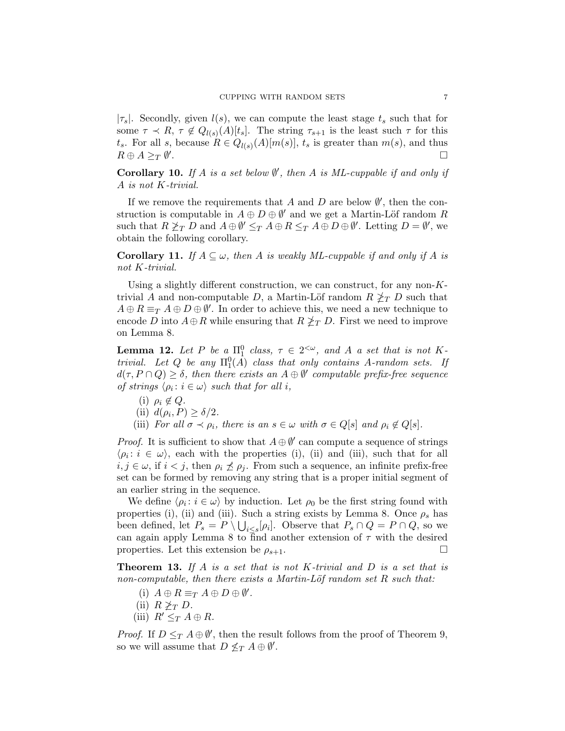$|\tau_s|$ . Secondly, given  $l(s)$ , we can compute the least stage  $t_s$  such that for some  $\tau \prec R$ ,  $\tau \notin Q_{l(s)}(A)[t_s]$ . The string  $\tau_{s+1}$  is the least such  $\tau$  for this  $t_s$ . For all s, because  $R \in Q_{l(s)}(A)[m(s)], t_s$  is greater than  $m(s)$ , and thus  $R \oplus A \geq_T \emptyset'$ . <u>Односно под стала на стала на стала на стала на стала на стала на стала на стала на стала на стала на с</u>тала н<br>Стала на стала на стала на стала на стала на стала на стала на стала на стала на стала на стала на стала на

Corollary 10. If A is a set below  $\emptyset'$ , then A is ML-cuppable if and only if A is not K-trivial.

If we remove the requirements that A and D are below  $\emptyset'$ , then the construction is computable in  $A \oplus D \oplus \emptyset'$  and we get a Martin-Löf random R such that  $R \ngeq_T D$  and  $A \oplus \emptyset' \leq_T A \oplus R \leq_T A \oplus D \oplus \emptyset'$ . Letting  $D = \emptyset'$ , we obtain the following corollary.

**Corollary 11.** If  $A \subseteq \omega$ , then A is weakly ML-cuppable if and only if A is not K-trivial.

Using a slightly different construction, we can construct, for any non- $K$ trivial A and non-computable D, a Martin-Löf random  $R \nleq_T D$  such that  $A \oplus R \equiv_T A \oplus D \oplus \emptyset'$ . In order to achieve this, we need a new technique to encode D into  $A \oplus R$  while ensuring that  $R \nleq_T D$ . First we need to improve on Lemma 8.

**Lemma 12.** Let P be  $a \prod_{1}^{0}$  class,  $\tau \in 2^{<\omega}$ , and A a set that is not Ktrivial. Let Q be any  $\Pi_1^0(\overline{A})$  class that only contains A-random sets. If  $d(\tau, P \cap Q) \geq \delta$ , then there exists an  $A \oplus \emptyset'$  computable prefix-free sequence of strings  $\langle \rho_i : i \in \omega \rangle$  such that for all i,

(i)  $\rho_i \notin Q$ . (ii)  $d(\rho_i, P) \ge \delta/2$ . (iii) For all  $\sigma \prec \rho_i$ , there is an  $s \in \omega$  with  $\sigma \in Q[s]$  and  $\rho_i \notin Q[s]$ .

*Proof.* It is sufficient to show that  $A \oplus \emptyset'$  can compute a sequence of strings  $\langle \rho_i : i \in \omega \rangle$ , each with the properties (i), (ii) and (iii), such that for all  $i, j \in \omega$ , if  $i < j$ , then  $\rho_i \npreceq \rho_j$ . From such a sequence, an infinite prefix-free set can be formed by removing any string that is a proper initial segment of an earlier string in the sequence.

We define  $\langle \rho_i : i \in \omega \rangle$  by induction. Let  $\rho_0$  be the first string found with properties (i), (ii) and (iii). Such a string exists by Lemma 8. Once  $\rho_s$  has been defined, let  $P_s = P \setminus \bigcup_{i \leq s} [\rho_i]$ . Observe that  $P_s \cap Q = P \cap Q$ , so we can again apply Lemma 8 to find another extension of  $\tau$  with the desired properties. Let this extension be  $\rho_{s+1}$ .

**Theorem 13.** If A is a set that is not K-trivial and D is a set that is non-computable, then there exists a Martin-Löf random set  $R$  such that:

- (i)  $A \oplus R \equiv_T A \oplus D \oplus \emptyset'$ .
- (ii)  $R \not\geq_T D$ .
- (iii)  $R' \leq_T A \oplus R$ .

*Proof.* If  $D \leq_T A \oplus \emptyset'$ , then the result follows from the proof of Theorem 9, so we will assume that  $D \nleq_T A \oplus \emptyset'$ .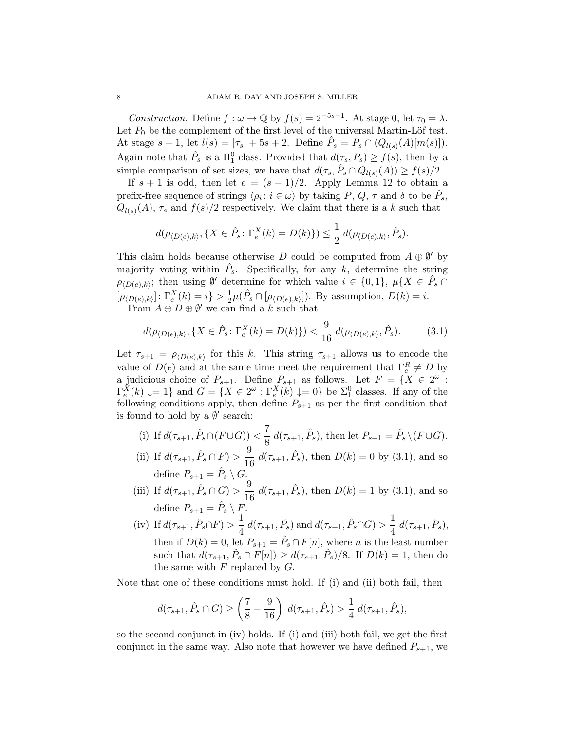Construction. Define  $f : \omega \to \mathbb{Q}$  by  $f(s) = 2^{-5s-1}$ . At stage 0, let  $\tau_0 = \lambda$ . Let  $P_0$  be the complement of the first level of the universal Martin-Löf test. At stage  $s + 1$ , let  $l(s) = |\tau_s| + 5s + 2$ . Define  $\hat{P}_s = P_s \cap (Q_{l(s)}(A)[m(s)])$ . Again note that  $\hat{P}_s$  is a  $\Pi_1^0$  class. Provided that  $d(\tau_s, P_s) \ge f(s)$ , then by a simple comparison of set sizes, we have that  $d(\tau_s, \hat{P}_s \cap Q_{l(s)}(A)) \ge f(s)/2$ .

If  $s + 1$  is odd, then let  $e = (s - 1)/2$ . Apply Lemma 12 to obtain a prefix-free sequence of strings  $\langle \rho_i : i \in \omega \rangle$  by taking P, Q,  $\tau$  and  $\delta$  to be  $\hat{P}_s$ ,  $Q_{l(s)}(A)$ ,  $\tau_s$  and  $f(s)/2$  respectively. We claim that there is a k such that

$$
d(\rho_{\langle D(e),k\rangle}, \{X \in \hat{P}_s : \Gamma_e^X(k) = D(k)\}) \le \frac{1}{2} d(\rho_{\langle D(e),k\rangle}, \hat{P}_s).
$$

This claim holds because otherwise D could be computed from  $A \oplus \emptyset'$  by majority voting within  $\hat{P}_s$ . Specifically, for any k, determine the string  $\rho_{\langle D(e),k\rangle}$ ; then using  $\emptyset'$  determine for which value  $i \in \{0,1\}$ ,  $\mu\{X \in \hat{P}_s \cap \mathcal{P}_s\}$  $[\rho_{\langle D(e),k \rangle}] \colon \Gamma_e^X(k) = i \} > \frac{1}{2}$  $\frac{1}{2}\mu(\hat{P}_s \cap [\rho_{\langle D(e),k \rangle}])$ . By assumption,  $D(k) = i$ .

From  $A \oplus D \oplus \emptyset'$  we can find a k such that

$$
d(\rho_{\langle D(e),k\rangle}, \{X \in \hat{P}_s : \Gamma_e^X(k) = D(k)\}) < \frac{9}{16} d(\rho_{\langle D(e),k\rangle}, \hat{P}_s).
$$
 (3.1)

Let  $\tau_{s+1} = \rho_{\langle D(e),k \rangle}$  for this k. This string  $\tau_{s+1}$  allows us to encode the value of  $D(e)$  and at the same time meet the requirement that  $\Gamma_e^R \neq D$  by a judicious choice of  $P_{s+1}$ . Define  $P_{s+1}$  as follows. Let  $F = \{X \in 2^{\omega} :$  $\Gamma_e^X(k) \downarrow = 1$  and  $G = \{ X \in 2^\omega : \Gamma_e^X(k) \downarrow = 0 \}$  be  $\Sigma_1^0$  classes. If any of the following conditions apply, then define  $P_{s+1}$  as per the first condition that is found to hold by a  $\emptyset'$  search:

(i) If 
$$
d(\tau_{s+1}, \hat{P}_s \cap (F \cup G)) < \frac{7}{8} d(\tau_{s+1}, \hat{P}_s)
$$
, then let  $P_{s+1} = \hat{P}_s \setminus (F \cup G)$ .

- (ii) If  $d(\tau_{s+1}, \hat{P}_s \cap F) > \frac{9}{16}$  $\frac{9}{16} d(\tau_{s+1}, \hat{P}_s)$ , then  $D(k) = 0$  by (3.1), and so define  $P_{s+1} = \hat{P}_s \setminus G$ .
- (iii) If  $d(\tau_{s+1}, \hat{P}_s \cap G) > \frac{9}{16}$  $\frac{9}{16} d(\tau_{s+1}, \hat{P}_s)$ , then  $D(k) = 1$  by (3.1), and so define  $P_{s+1} = \hat{P}_s \setminus F$ .
- (iv) If  $d(\tau_{s+1}, \hat{P}_s \cap F) > \frac{1}{4}$  $\frac{1}{4} d(\tau_{s+1}, \hat{P}_s)$  and  $d(\tau_{s+1}, \hat{P}_s \cap G) > \frac{1}{4}$  $\frac{1}{4} d(\tau_{s+1}, \hat{P}_s),$ then if  $D(k) = 0$ , let  $P_{s+1} = \hat{P}_s \cap F[n]$ , where *n* is the least number such that  $d(\tau_{s+1}, \hat{P}_s \cap F[n]) \geq d(\tau_{s+1}, \hat{P}_s)/8$ . If  $D(k) = 1$ , then do the same with  $F$  replaced by  $G$ .

Note that one of these conditions must hold. If (i) and (ii) both fail, then

$$
d(\tau_{s+1}, \hat{P}_s \cap G) \ge \left(\frac{7}{8} - \frac{9}{16}\right) d(\tau_{s+1}, \hat{P}_s) > \frac{1}{4} d(\tau_{s+1}, \hat{P}_s),
$$

so the second conjunct in (iv) holds. If (i) and (iii) both fail, we get the first conjunct in the same way. Also note that however we have defined  $P_{s+1}$ , we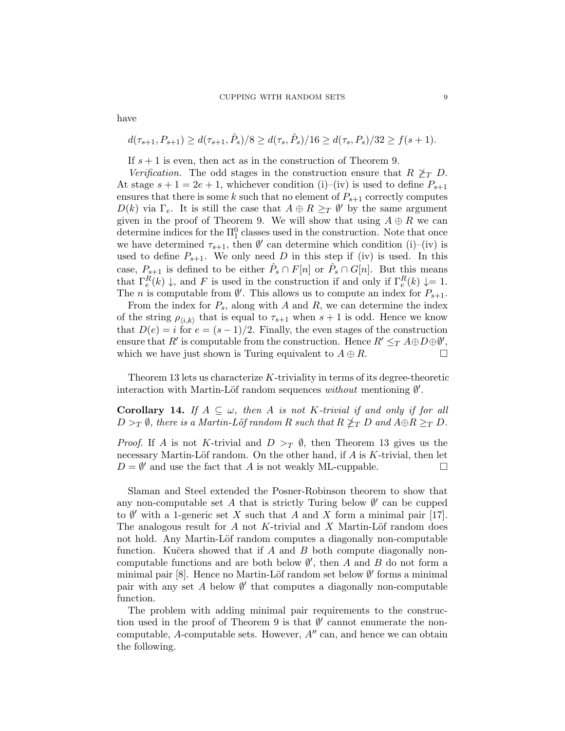$$
d(\tau_{s+1}, P_{s+1}) \geq d(\tau_{s+1}, \hat{P}_s)/8 \geq d(\tau_s, \hat{P}_s)/16 \geq d(\tau_s, P_s)/32 \geq f(s+1).
$$

If  $s + 1$  is even, then act as in the construction of Theorem 9.

Verification. The odd stages in the construction ensure that  $R \nless_T D$ . At stage  $s + 1 = 2e + 1$ , whichever condition (i)–(iv) is used to define  $P_{s+1}$ ensures that there is some k such that no element of  $P_{s+1}$  correctly computes  $D(k)$  via  $\Gamma_e$ . It is still the case that  $A \oplus R \geq_T \emptyset'$  by the same argument given in the proof of Theorem 9. We will show that using  $A \oplus R$  we can determine indices for the  $\Pi_1^0$  classes used in the construction. Note that once we have determined  $\tau_{s+1}$ , then  $\emptyset'$  can determine which condition (i)–(iv) is used to define  $P_{s+1}$ . We only need D in this step if (iv) is used. In this case,  $P_{s+1}$  is defined to be either  $\hat{P}_s \cap F[n]$  or  $\hat{P}_s \cap G[n]$ . But this means that  $\Gamma_e^R(k) \downarrow$ , and F is used in the construction if and only if  $\Gamma_e^R(k) \downarrow = 1$ . The *n* is computable from  $\emptyset'$ . This allows us to compute an index for  $P_{s+1}$ .

From the index for  $P_s$ , along with A and R, we can determine the index of the string  $\rho_{\langle i,k \rangle}$  that is equal to  $\tau_{s+1}$  when  $s+1$  is odd. Hence we know that  $D(e) = i$  for  $e = (s-1)/2$ . Finally, the even stages of the construction ensure that  $R'$  is computable from the construction. Hence  $R' \leq_T A \oplus D \oplus \emptyset'$ , which we have just shown is Turing equivalent to  $A \oplus R$ .

Theorem 13 lets us characterize  $K$ -triviality in terms of its degree-theoretic interaction with Martin-Löf random sequences without mentioning  $\emptyset'$ .

**Corollary 14.** If  $A \subseteq \omega$ , then A is not K-trivial if and only if for all  $D >_T \emptyset$ , there is a Martin-Löf random R such that  $R \nleq_T D$  and  $A \oplus R \geq_T D$ .

*Proof.* If A is not K-trivial and  $D >_T \emptyset$ , then Theorem 13 gives us the necessary Martin-Löf random. On the other hand, if  $A$  is  $K$ -trivial, then let  $D = \emptyset'$  and use the fact that A is not weakly ML-cuppable.

Slaman and Steel extended the Posner-Robinson theorem to show that any non-computable set  $A$  that is strictly Turing below  $\emptyset'$  can be cupped to  $\emptyset'$  with a 1-generic set X such that A and X form a minimal pair [17]. The analogous result for  $A$  not  $K$ -trivial and  $X$  Martin-Löf random does not hold. Any Martin-Löf random computes a diagonally non-computable function. Kučera showed that if  $A$  and  $B$  both compute diagonally noncomputable functions and are both below  $\emptyset'$ , then A and B do not form a minimal pair [8]. Hence no Martin-Löf random set below  $\emptyset'$  forms a minimal pair with any set  $A$  below  $\emptyset'$  that computes a diagonally non-computable function.

The problem with adding minimal pair requirements to the construction used in the proof of Theorem 9 is that  $\emptyset'$  cannot enumerate the noncomputable, A-computable sets. However,  $A''$  can, and hence we can obtain the following.

have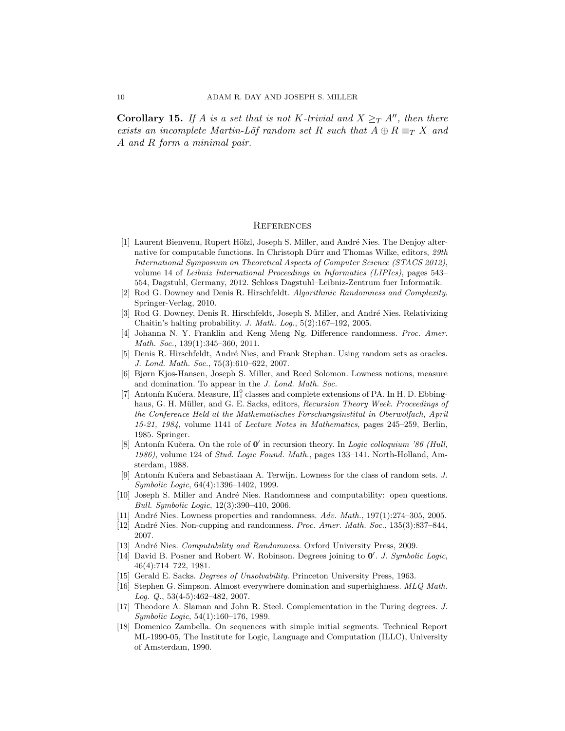**Corollary 15.** If A is a set that is not K-trivial and  $X \geq_T A''$ , then there exists an incomplete Martin-Löf random set R such that  $A \oplus R \equiv_T X$  and A and R form a minimal pair.

#### **REFERENCES**

- [1] Laurent Bienvenu, Rupert Hölzl, Joseph S. Miller, and André Nies. The Denjoy alternative for computable functions. In Christoph Dürr and Thomas Wilke, editors,  $29th$ International Symposium on Theoretical Aspects of Computer Science (STACS 2012), volume 14 of Leibniz International Proceedings in Informatics (LIPIcs), pages 543– 554, Dagstuhl, Germany, 2012. Schloss Dagstuhl–Leibniz-Zentrum fuer Informatik.
- [2] Rod G. Downey and Denis R. Hirschfeldt. Algorithmic Randomness and Complexity. Springer-Verlag, 2010.
- [3] Rod G. Downey, Denis R. Hirschfeldt, Joseph S. Miller, and André Nies. Relativizing Chaitin's halting probability. J. Math. Log., 5(2):167–192, 2005.
- [4] Johanna N. Y. Franklin and Keng Meng Ng. Difference randomness. Proc. Amer. Math. Soc., 139(1):345–360, 2011.
- [5] Denis R. Hirschfeldt, André Nies, and Frank Stephan. Using random sets as oracles. J. Lond. Math. Soc., 75(3):610–622, 2007.
- [6] Bjørn Kjos-Hansen, Joseph S. Miller, and Reed Solomon. Lowness notions, measure and domination. To appear in the J. Lond. Math. Soc.
- [7] Antonín Kučera. Measure,  $\Pi_1^0$  classes and complete extensions of PA. In H. D. Ebbinghaus, G. H. Müller, and G. E. Sacks, editors, Recursion Theory Week. Proceedings of the Conference Held at the Mathematisches Forschungsinstitut in Oberwolfach, April 15-21, 1984, volume 1141 of Lecture Notes in Mathematics, pages 245–259, Berlin, 1985. Springer.
- [8] Antonín Kučera. On the role of  $0'$  in recursion theory. In Logic colloquium '86 (Hull, 1986), volume 124 of Stud. Logic Found. Math., pages 133–141. North-Holland, Amsterdam, 1988.
- [9] Antonín Kučera and Sebastiaan A. Terwijn. Lowness for the class of random sets. J. Symbolic Logic, 64(4):1396–1402, 1999.
- [10] Joseph S. Miller and André Nies. Randomness and computability: open questions. Bull. Symbolic Logic, 12(3):390–410, 2006.
- [11] André Nies. Lowness properties and randomness.  $Adv. Math., 197(1): 274-305, 2005.$
- [12] André Nies. Non-cupping and randomness. Proc. Amer. Math. Soc., 135(3):837–844, 2007.
- [13] André Nies. *Computability and Randomness*. Oxford University Press, 2009.
- [14] David B. Posner and Robert W. Robinson. Degrees joining to  $0'$ . J. Symbolic Logic, 46(4):714–722, 1981.
- [15] Gerald E. Sacks. Degrees of Unsolvability. Princeton University Press, 1963.
- [16] Stephen G. Simpson. Almost everywhere domination and superhighness. MLQ Math. Log.  $Q_{.}, 53(4-5):462-482, 2007.$
- [17] Theodore A. Slaman and John R. Steel. Complementation in the Turing degrees. J. Symbolic Logic, 54(1):160–176, 1989.
- [18] Domenico Zambella. On sequences with simple initial segments. Technical Report ML-1990-05, The Institute for Logic, Language and Computation (ILLC), University of Amsterdam, 1990.